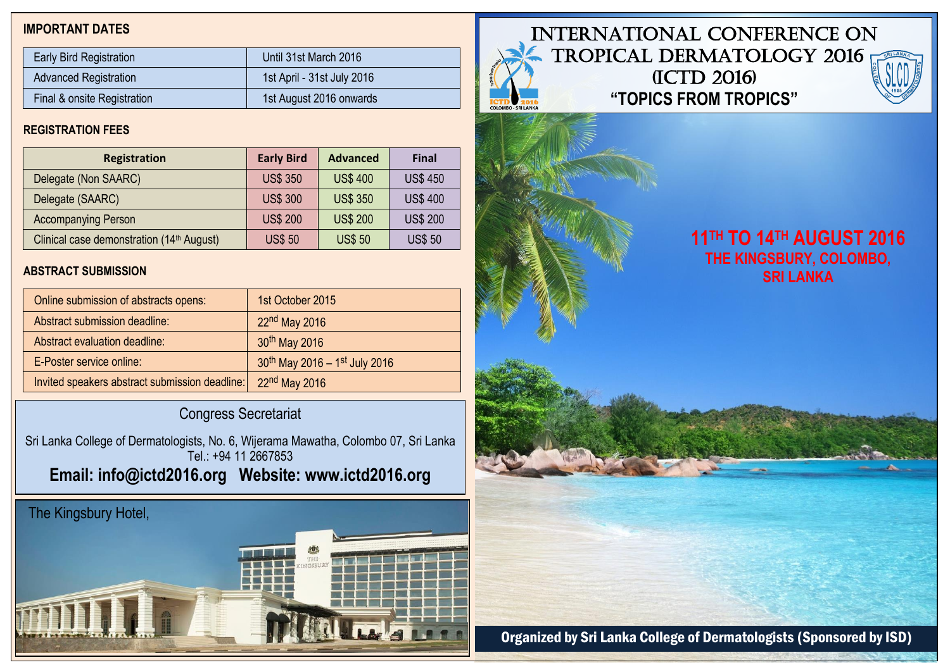# **IMPORTANT DATES**

| <b>Early Bird Registration</b> | Until 31st March 2016      |
|--------------------------------|----------------------------|
| <b>Advanced Registration</b>   | 1st April - 31st July 2016 |
| Final & onsite Registration    | 1st August 2016 onwards    |

# **REGISTRATION FEES**

| <b>Registration</b>                                   | <b>Early Bird</b> | <b>Advanced</b> | <b>Final</b>    |
|-------------------------------------------------------|-------------------|-----------------|-----------------|
| Delegate (Non SAARC)                                  | <b>US\$ 350</b>   | <b>US\$400</b>  | <b>US\$450</b>  |
| Delegate (SAARC)                                      | <b>US\$ 300</b>   | <b>US\$ 350</b> | <b>US\$400</b>  |
| <b>Accompanying Person</b>                            | <b>US\$ 200</b>   | <b>US\$ 200</b> | <b>US\$ 200</b> |
| Clinical case demonstration (14 <sup>th</sup> August) | <b>US\$50</b>     | <b>US\$50</b>   | <b>US\$50</b>   |

# **ABSTRACT SUBMISSION**

| Online submission of abstracts opens:          | 1st October 2015              |
|------------------------------------------------|-------------------------------|
| Abstract submission deadline:                  | $22nd$ May 2016               |
| Abstract evaluation deadline:                  | 30 <sup>th</sup> May 2016     |
| E-Poster service online:                       | 30th May 2016 - 1st July 2016 |
| Invited speakers abstract submission deadline: | 22nd May 2016                 |

# Congress Secretariat

Sri Lanka College of Dermatologists, No. 6, Wijerama Mawatha, Colombo 07, Sri Lanka Tel.: +94 11 2667853 **Email: [info@ictd2016.org](mailto:info@ictd2016.org) Website: www.ictd2016.org**

# The Kingsbury Hotel,